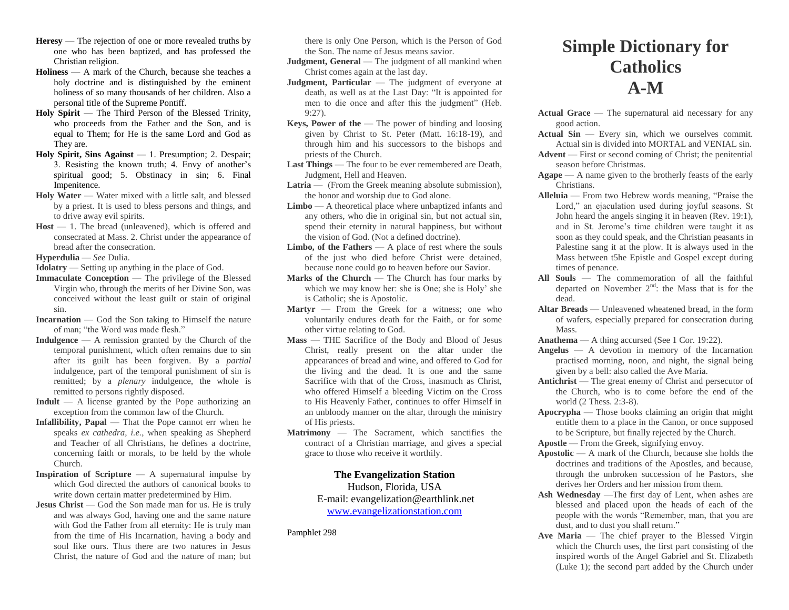- **Heresy** The rejection of one or more revealed truths by one who has been baptized, and has professed the Christian religion.
- **Holiness**  A mark of the Church, because she teaches a holy doctrine and is distinguished by the eminent holiness of so many thousands of her children. Also a personal title of the Supreme Pontiff.
- **Holy Spirit**  The Third Person of the Blessed Trinity, who proceeds from the Father and the Son, and is equal to Them; for He is the same Lord and God as They are.
- **Holy Spirit, Sins Against**  1. Presumption; 2. Despair; 3. Resisting the known truth; 4. Envy of another's spiritual good; 5. Obstinacy in sin; 6. Final Impenitence.
- **Holy Water** Water mixed with a little salt, and blessed by a priest. It is used to bless persons and things, and to drive away evil spirits.
- Host 1. The bread (unleavened), which is offered and consecrated at Mass. 2. Christ under the appearance of bread after the consecration.

**Hyperdulia** — *See* Dulia.

**Idolatry** — Setting up anything in the place of God.

- **Immaculate Conception** The privilege of the Blessed Virgin who, through the merits of her Divine Son, was conceived without the least guilt or stain of original sin.
- **Incarnation**  God the Son taking to Himself the nature of man; "the Word was made flesh."
- **Indulgence**  A remission granted by the Church of the temporal punishment, which often remains due to sin after its guilt has been forgiven. By a *partial*  indulgence, part of the temporal punishment of sin is remitted; by a *plenary* indulgence, the whole is remitted to persons rightly disposed.
- **Indult**  A license granted by the Pope authorizing an exception from the common law of the Church.
- **Infallibility, Papal** That the Pope cannot err when he speaks *ex cathedra, i.e.,* when speaking as Shepherd and Teacher of all Christians, he defines a doctrine, concerning faith or morals, to be held by the whole Church.
- **Inspiration of Scripture** A supernatural impulse by which God directed the authors of canonical books to write down certain matter predetermined by Him.
- **Jesus Christ** God the Son made man for us. He is truly and was always God, having one and the same nature with God the Father from all eternity: He is truly man from the time of His Incarnation, having a body and soul like ours. Thus there are two natures in Jesus Christ, the nature of God and the nature of man; but

there is only One Person, which is the Person of God the Son. The name of Jesus means savior.

**Judgment, General** — The judgment of all mankind when Christ comes again at the last day.

- **Judgment, Particular** The judgment of everyone at death, as well as at the Last Day: "It is appointed for men to die once and after this the judgment" (Heb. 9:27).
- **Keys, Power of the The power of binding and loosing** given by Christ to St. Peter (Matt. 16:18-19), and through him and his successors to the bishops and priests of the Church.
- Last Things The four to be ever remembered are Death, Judgment, Hell and Heaven.
- Latria (From the Greek meaning absolute submission), the honor and worship due to God alone.
- **Limbo**  A theoretical place where unbaptized infants and any others, who die in original sin, but not actual sin, spend their eternity in natural happiness, but without the vision of God. (Not a defined doctrine).
- **Limbo, of the Fathers** A place of rest where the souls of the just who died before Christ were detained, because none could go to heaven before our Savior.
- **Marks of the Church The Church has four marks by** which we may know her: she is One; she is Holy' she is Catholic; she is Apostolic.
- Martyr From the Greek for a witness; one who voluntarily endures death for the Faith, or for some other virtue relating to God.
- **Mass**  THE Sacrifice of the Body and Blood of Jesus Christ, really present on the altar under the appearances of bread and wine, and offered to God for the living and the dead. It is one and the same Sacrifice with that of the Cross, inasmuch as Christ, who offered Himself a bleeding Victim on the Cross to His Heavenly Father, continues to offer Himself in an unbloody manner on the altar, through the ministry of His priests.
- **Matrimony**  The Sacrament, which sanctifies the contract of a Christian marriage, and gives a special grace to those who receive it worthily.

## **The Evangelization Station** Hudson, Florida, USA

E-mail: evangelization@earthlink.net [www.evangelizationstation.com](http://www.pjpiisoe.org/)

Pamphlet 298

## **Simple Dictionary for Catholics A-M**

- **Actual Grace** The supernatural aid necessary for any good action.
- Actual Sin Every sin, which we ourselves commit. Actual sin is divided into MORTAL and VENIAL sin.
- **Advent** First or second coming of Christ; the penitential season before Christmas.
- **Agape**  A name given to the brotherly feasts of the early Christians.
- **Alleluia**  From two Hebrew words meaning, "Praise the Lord," an ejaculation used during joyful seasons. St John heard the angels singing it in heaven (Rev. 19:1), and in St. Jerome's time children were taught it as soon as they could speak, and the Christian peasants in Palestine sang it at the plow. It is always used in the Mass between t5he Epistle and Gospel except during times of penance.
- **All Souls**  The commemoration of all the faithful departed on November  $2<sup>nd</sup>$ : the Mass that is for the dead.
- **Altar Breads**  Unleavened wheatened bread, in the form of wafers, especially prepared for consecration during Mass.
- **Anathema**  A thing accursed (See 1 Cor. 19:22).
- **Angelus**  A devotion in memory of the Incarnation practised morning, noon, and night, the signal being given by a bell: also called the Ave Maria.
- **Antichrist** The great enemy of Christ and persecutor of the Church, who is to come before the end of the world (2 Thess. 2:3-8).
- **Apocrypha** Those books claiming an origin that might entitle them to a place in the Canon, or once supposed to be Scripture, but finally rejected by the Church.
- **Apostle** From the Greek, signifying envoy.
- **Apostolic** A mark of the Church, because she holds the doctrines and traditions of the Apostles, and because, through the unbroken succession of he Pastors, she derives her Orders and her mission from them.
- **Ash Wednesday** —The first day of Lent, when ashes are blessed and placed upon the heads of each of the people with the words "Remember, man, that you are dust, and to dust you shall return."
- **Ave Maria** The chief prayer to the Blessed Virgin which the Church uses, the first part consisting of the inspired words of the Angel Gabriel and St. Elizabeth (Luke 1); the second part added by the Church under